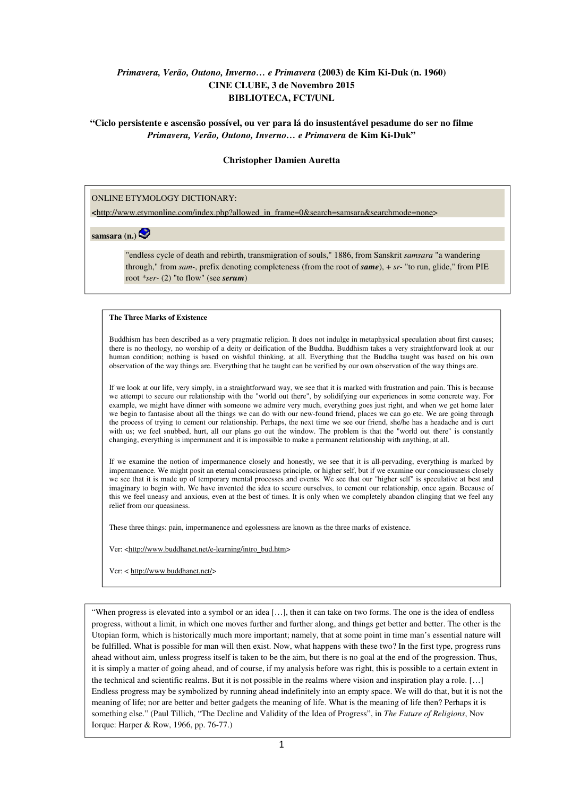## *Primavera, Verão, Outono, Inverno… e Primavera* **(2003) de Kim Ki-Duk (n. 1960) CINE CLUBE, 3 de Novembro 2015 BIBLIOTECA, FCT/UNL**

**"Ciclo persistente e ascensão possível, ou ver para lá do insustentável pesadume do ser no filme**  *Primavera, Verão, Outono, Inverno… e Primavera* **de Kim Ki-Duk"** 

## **Christopher Damien Auretta**

## ONLINE ETYMOLOGY DICTIONARY:

**<**http://www.etymonline.com/index.php?allowed\_in\_frame=0&search=samsara&searchmode=none>

**samsara (n.)**

"endless cycle of death and rebirth, transmigration of souls," 1886, from Sanskrit *samsara* "a wandering through," from *sam-*, prefix denoting completeness (from the root of *same*), + *sr-* "to run, glide," from PIE root *\*ser-* (2) "to flow" (see *serum*)

## **The Three Marks of Existence**

Buddhism has been described as a very pragmatic religion. It does not indulge in metaphysical speculation about first causes; there is no theology, no worship of a deity or deification of the Buddha. Buddhism takes a very straightforward look at our human condition; nothing is based on wishful thinking, at all. Everything that the Buddha taught was based on his own observation of the way things are. Everything that he taught can be verified by our own observation of the way things are.

If we look at our life, very simply, in a straightforward way, we see that it is marked with frustration and pain. This is because we attempt to secure our relationship with the "world out there", by solidifying our experiences in some concrete way. For example, we might have dinner with someone we admire very much, everything goes just right, and when we get home later we begin to fantasise about all the things we can do with our new-found friend, places we can go etc. We are going through the process of trying to cement our relationship. Perhaps, the next time we see our friend, she/he has a headache and is curt with us; we feel snubbed, hurt, all our plans go out the window. The problem is that the "world out there" is constantly changing, everything is impermanent and it is impossible to make a permanent relationship with anything, at all.

If we examine the notion of impermanence closely and honestly, we see that it is all-pervading, everything is marked by impermanence. We might posit an eternal consciousness principle, or higher self, but if we examine our consciousness closely we see that it is made up of temporary mental processes and events. We see that our "higher self" is speculative at best and imaginary to begin with. We have invented the idea to secure ourselves, to cement our relationship, once again. Because of this we feel uneasy and anxious, even at the best of times. It is only when we completely abandon clinging that we feel any relief from our queasiness.

These three things: pain, impermanence and egolessness are known as the three marks of existence.

Ver: <http://www.buddhanet.net/e-learning/intro\_bud.htm>

Ver: < http://www.buddhanet.net/>

"When progress is elevated into a symbol or an idea […], then it can take on two forms. The one is the idea of endless progress, without a limit, in which one moves further and further along, and things get better and better. The other is the Utopian form, which is historically much more important; namely, that at some point in time man's essential nature will be fulfilled. What is possible for man will then exist. Now, what happens with these two? In the first type, progress runs ahead without aim, unless progress itself is taken to be the aim, but there is no goal at the end of the progression. Thus, it is simply a matter of going ahead, and of course, if my analysis before was right, this is possible to a certain extent in the technical and scientific realms. But it is not possible in the realms where vision and inspiration play a role. […] Endless progress may be symbolized by running ahead indefinitely into an empty space. We will do that, but it is not the meaning of life; nor are better and better gadgets the meaning of life. What is the meaning of life then? Perhaps it is something else." (Paul Tillich, "The Decline and Validity of the Idea of Progress", in *The Future of Religions*, Nov Iorque: Harper & Row, 1966, pp. 76-77.)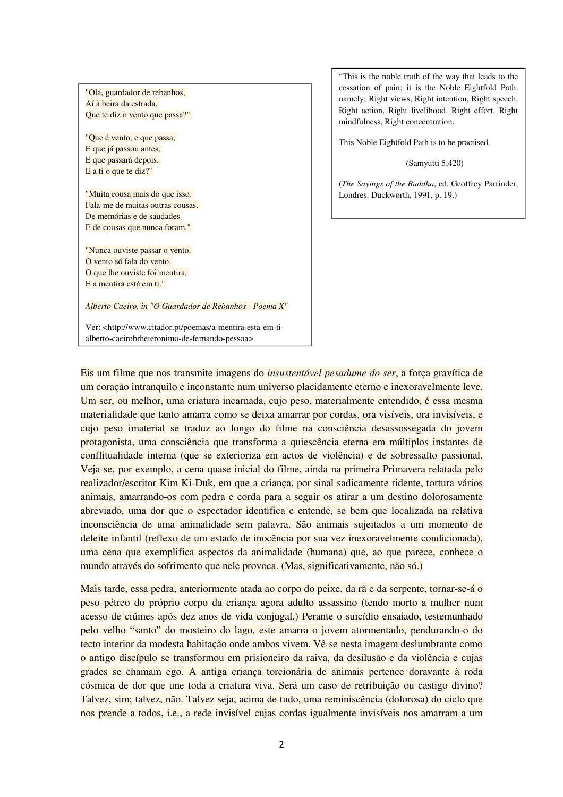"Olá, guardador de rebanhos, Aí à beira da estrada, Que te diz o vento que passa?"

"Que é vento, e que passa, E que já passou antes, E que passará depois. E a ti o que te diz?"

"Muita cousa mais do que isso. Fala-me de muitas outras cousas. De memórias e de saudades E de cousas que nunca foram."

"Nunca ouviste passar o vento. O vento só fala do vento. O que lhe ouviste foi mentira, E a mentira está em ti."

*Alberto Caeiro, in "O Guardador de Rebanhos - Poema X"* 

Ver: <http://www.citador.pt/poemas/a-mentira-esta-em-tialberto-caeirobrheteronimo-de-fernando-pessoa>

"This is the noble truth of the way that leads to the cessation of pain; it is the Noble Eightfold Path, namely; Right views, Right intention, Right speech, Right action, Right livelihood, Right effort, Right mindfulness, Right concentration.

This Noble Eightfold Path is to be practised.

(Samyutti 5,420)

(*The Sayings of the Buddha*, ed. Geoffrey Parrinder, Londres. Duckworth, 1991, p. 19.)

Eis um filme que nos transmite imagens do *insustentável pesadume do ser*, a força gravítica de um coração intranquilo e inconstante num universo placidamente eterno e inexoravelmente leve. Um ser, ou melhor, uma criatura incarnada, cujo peso, materialmente entendido, é essa mesma materialidade que tanto amarra como se deixa amarrar por cordas, ora visíveis, ora invisíveis, e cujo peso imaterial se traduz ao longo do filme na consciência desassossegada do jovem protagonista, uma consciência que transforma a quiescência eterna em múltiplos instantes de conflitualidade interna (que se exterioriza em actos de violência) e de sobressalto passional. Veja-se, por exemplo, a cena quase inicial do filme, ainda na primeira Primavera relatada pelo realizador/escritor Kim Ki-Duk, em que a criança, por sinal sadicamente ridente, tortura vários animais, amarrando-os com pedra e corda para a seguir os atirar a um destino dolorosamente abreviado, uma dor que o espectador identifica e entende, se bem que localizada na relativa inconsciência de uma animalidade sem palavra. São animais sujeitados a um momento de deleite infantil (reflexo de um estado de inocência por sua vez inexoravelmente condicionada), uma cena que exemplifica aspectos da animalidade (humana) que, ao que parece, conhece o mundo através do sofrimento que nele provoca. (Mas, significativamente, não só.)

Mais tarde, essa pedra, anteriormente atada ao corpo do peixe, da rã e da serpente, tornar-se-á o peso pétreo do próprio corpo da criança agora adulto assassino (tendo morto a mulher num acesso de ciúmes após dez anos de vida conjugal.) Perante o suicídio ensaiado, testemunhado pelo velho "santo" do mosteiro do lago, este amarra o jovem atormentado, pendurando-o do tecto interior da modesta habitação onde ambos vivem. Vê-se nesta imagem deslumbrante como o antigo discípulo se transformou em prisioneiro da raiva, da desilusão e da violência e cujas grades se chamam ego. A antiga criança torcionária de animais pertence doravante à roda cósmica de dor que une toda a criatura viva. Será um caso de retribuição ou castigo divino? Talvez, sim; talvez, não. Talvez seja, acima de tudo, uma reminiscência (dolorosa) do ciclo que nos prende a todos, i.e., a rede invisível cujas cordas igualmente invisíveis nos amarram a um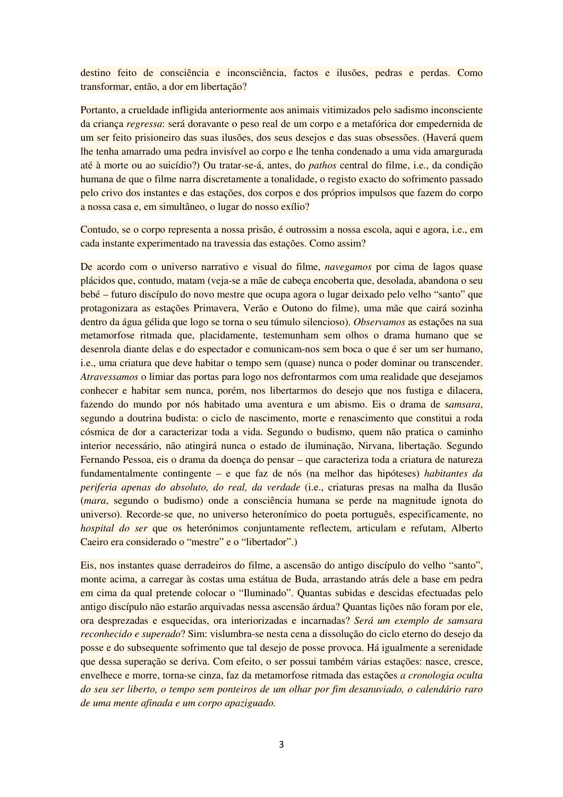destino feito de consciência e inconsciência, factos e ilusões, pedras e perdas. Como transformar, então, a dor em libertação?

Portanto, a crueldade infligida anteriormente aos animais vitimizados pelo sadismo inconsciente da criança *regressa*: será doravante o peso real de um corpo e a metafórica dor empedernida de um ser feito prisioneiro das suas ilusões, dos seus desejos e das suas obsessões. (Haverá quem lhe tenha amarrado uma pedra invisível ao corpo e lhe tenha condenado a uma vida amargurada até à morte ou ao suicídio?) Ou tratar-se-á, antes, do *pathos* central do filme, i.e., da condição humana de que o filme narra discretamente a tonalidade, o registo exacto do sofrimento passado pelo crivo dos instantes e das estações, dos corpos e dos próprios impulsos que fazem do corpo a nossa casa e, em simultâneo, o lugar do nosso exílio?

Contudo, se o corpo representa a nossa prisão, é outrossim a nossa escola, aqui e agora, i.e., em cada instante experimentado na travessia das estações. Como assim?

De acordo com o universo narrativo e visual do filme, *navegamos* por cima de lagos quase plácidos que, contudo, matam (veja-se a mãe de cabeça encoberta que, desolada, abandona o seu bebé – futuro discípulo do novo mestre que ocupa agora o lugar deixado pelo velho "santo" que protagonizara as estações Primavera, Verão e Outono do filme), uma mãe que cairá sozinha dentro da água gélida que logo se torna o seu túmulo silencioso). *Observamos* as estações na sua metamorfose ritmada que, placidamente, testemunham sem olhos o drama humano que se desenrola diante delas e do espectador e comunicam-nos sem boca o que é ser um ser humano, i.e., uma criatura que deve habitar o tempo sem (quase) nunca o poder dominar ou transcender. *Atravessamos* o limiar das portas para logo nos defrontarmos com uma realidade que desejamos conhecer e habitar sem nunca, porém, nos libertarmos do desejo que nos fustiga e dilacera, fazendo do mundo por nós habitado uma aventura e um abismo. Eis o drama de s*amsara*, segundo a doutrina budista: o ciclo de nascimento, morte e renascimento que constitui a roda cósmica de dor a caracterizar toda a vida. Segundo o budismo, quem não pratica o caminho interior necessário, não atingirá nunca o estado de iluminação, Nirvana, libertação. Segundo Fernando Pessoa, eis o drama da doença do pensar – que caracteriza toda a criatura de natureza fundamentalmente contingente – e que faz de nós (na melhor das hipóteses) *habitantes da periferia apenas do absoluto, do real, da verdade* (i.e., criaturas presas na malha da Ilusão (*mara*, segundo o budismo) onde a consciência humana se perde na magnitude ignota do universo). Recorde-se que, no universo heteronímico do poeta português, especificamente, no *hospital do ser* que os heterónimos conjuntamente reflectem, articulam e refutam, Alberto Caeiro era considerado o "mestre" e o "libertador".)

Eis, nos instantes quase derradeiros do filme, a ascensão do antigo discípulo do velho "santo", monte acima, a carregar às costas uma estátua de Buda, arrastando atrás dele a base em pedra em cima da qual pretende colocar o "Iluminado". Quantas subidas e descidas efectuadas pelo antigo discípulo não estarão arquivadas nessa ascensão árdua? Quantas lições não foram por ele, ora desprezadas e esquecidas, ora interiorizadas e incarnadas? *Será um exemplo de samsara reconhecido e superado*? Sim: vislumbra-se nesta cena a dissolução do ciclo eterno do desejo da posse e do subsequente sofrimento que tal desejo de posse provoca. Há igualmente a serenidade que dessa superação se deriva. Com efeito, o ser possui também várias estações: nasce, cresce, envelhece e morre, torna-se cinza, faz da metamorfose ritmada das estações *a cronologia oculta do seu ser liberto, o tempo sem ponteiros de um olhar por fim desanuviado, o calendário raro de uma mente afinada e um corpo apaziguado.*